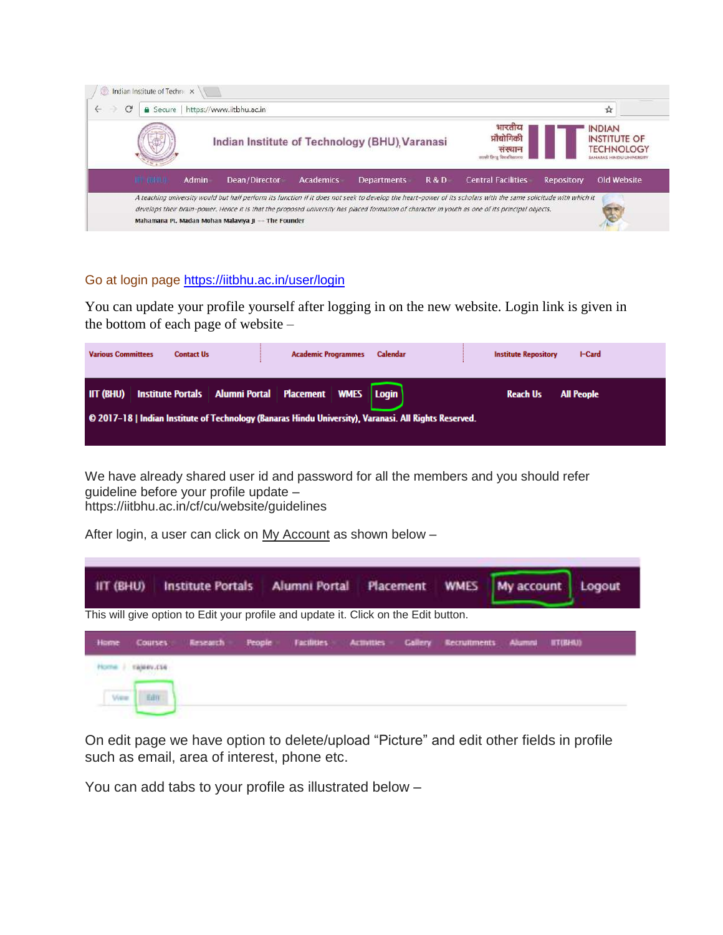|                  |       | Indian Institute of Technology (BHU), Varanasi |           |                    |     | भारतीय<br>प्रौद्योगिकी<br>सस्थान<br>सरको हिन्द विषयकियार |                   | <b>INDIAN</b><br><b>INSTITUTE OF</b><br><b>TECHNOLOGY</b><br>JANARAS HINDU UNIVERSITY |
|------------------|-------|------------------------------------------------|-----------|--------------------|-----|----------------------------------------------------------|-------------------|---------------------------------------------------------------------------------------|
| <b>IFF GIFRA</b> | Admin | Dean/Director                                  | Academics | <b>Departments</b> | R&D | <b>Central Facilities</b>                                | <b>Repository</b> | Old Website                                                                           |

## Go at login page<https://iitbhu.ac.in/user/login>

You can update your profile yourself after logging in on the new website. Login link is given in the bottom of each page of website –

| <b>Various Committees</b> | <b>Contact Us</b>                                                                                     | <b>Academic Programmes</b> | Calendar | <b>Institute Repository</b><br>I-Card |
|---------------------------|-------------------------------------------------------------------------------------------------------|----------------------------|----------|---------------------------------------|
|                           | IIT (BHU) Institute Portals   Alumni Portal   Placement   WMES   Login                                |                            |          | <b>Reach Us</b><br><b>All People</b>  |
|                           | © 2017–18   Indian Institute of Technology (Banaras Hindu University), Varanasi. All Rights Reserved. |                            |          |                                       |

We have already shared user id and password for all the members and you should refer guideline before your profile update – https://iitbhu.ac.in/cf/cu/website/guidelines

After login, a user can click on My Account as shown below -

| IIT (BHU)              | <b>Institute Portals</b>                                                            |               | Alumni Portal Placement WMES |                   |                |                     | My account    | Logout                |
|------------------------|-------------------------------------------------------------------------------------|---------------|------------------------------|-------------------|----------------|---------------------|---------------|-----------------------|
|                        | This will give option to Edit your profile and update it. Click on the Edit button. |               |                              |                   |                |                     |               |                       |
| Home<br><b>Courses</b> | Research                                                                            | <b>People</b> | <b>Facilities</b>            | <b>Activities</b> | <b>Callery</b> | <b>Retruitments</b> | <b>Alumni</b> | <b><i>MT(BHA)</i></b> |
| TANKIV.CLG             |                                                                                     |               |                              |                   |                |                     |               |                       |
| View                   | 毛田市                                                                                 |               |                              |                   |                |                     |               |                       |

On edit page we have option to delete/upload "Picture" and edit other fields in profile such as email, area of interest, phone etc.

You can add tabs to your profile as illustrated below –